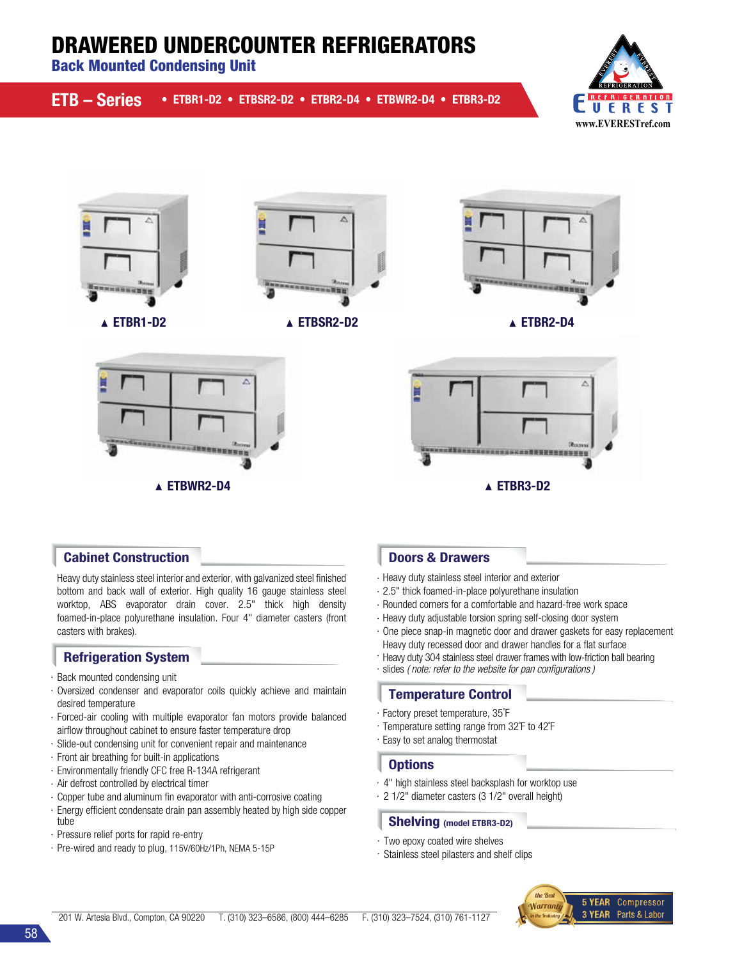# DRAWERED UNDERCOUNTER REFRIGERATORS

Back Mounted Condensing Unit

| ETB - Series • ETBR1-D2 • ETBSR2-D2 • ETBR2-D4 • ETBWR2-D4 • ETBR3-D2 |  |  |  |  |
|-----------------------------------------------------------------------|--|--|--|--|
|-----------------------------------------------------------------------|--|--|--|--|







ETBR1-D2 ETBSR2-D2 ETBR2-D4



**SHRHHHMM** 





Heavy duty stainless steel interior and exterior, with galvanized steel finished bottom and back wall of exterior. High quality 16 gauge stainless steel worktop, ABS evaporator drain cover. 2.5" thick high density foamed-in-place polyurethane insulation. Four 4" diameter casters (front casters with brakes).

## Refrigeration System

- · Back mounted condensing unit
- · Oversized condenser and evaporator coils quickly achieve and maintain desired temperature
- · Forced-air cooling with multiple evaporator fan motors provide balanced airflow throughout cabinet to ensure faster temperature drop
- · Slide-out condensing unit for convenient repair and maintenance
- · Front air breathing for built-in applications
- · Environmentally friendly CFC free R-134A refrigerant
- · Air defrost controlled by electrical timer
- · Copper tube and aluminum fin evaporator with anti-corrosive coating
- · Energy efficient condensate drain pan assembly heated by high side copper tube
- · Pressure relief ports for rapid re-entry
- · Pre-wired and ready to plug, 115V/60Hz/1Ph, NEMA 5-15P

- · Heavy duty stainless steel interior and exterior
- · 2.5" thick foamed-in-place polyurethane insulation
- · Rounded corners for a comfortable and hazard-free work space
- · Heavy duty adjustable torsion spring self-closing door system
- · One piece snap-in magnetic door and drawer gaskets for easy replacement Heavy duty recessed door and drawer handles for a flat surface
- · Heavy duty 304 stainless steel drawer frames with low-friction ball bearing
- · slides *( note: refer to the website for pan configurations )*

#### Temperature Control

- · Factory preset temperature, 35˚F
- · Temperature setting range from 32˚F to 42˚F
- · Easy to set analog thermostat

#### **Options**

- · 4" high stainless steel backsplash for worktop use
- · 2 1/2" diameter casters (3 1/2" overall height)

#### Shelving (model ETBR3-D2)

- · Two epoxy coated wire shelves
- · Stainless steel pilasters and shelf clips